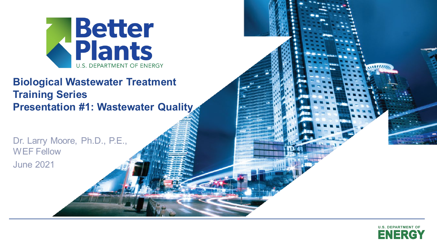

#### **Presentation #1: Wastewater Quality Biological Wastewater Treatment Training Series**

Dr. Larry Moore, Ph.D., P.E., WEF Fellow June 2021



 $\frac{1}{1}$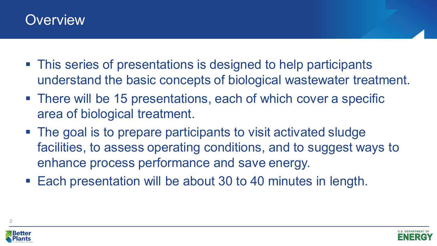#### **Overview**

- This series of presentations is designed to help participants understand the basic concepts of biological wastewater treatment.
- There will be 15 presentations, each of which cover a specific area of biological treatment.
- The goal is to prepare participants to visit activated sludge facilities, to assess operating conditions, and to suggest ways to enhance process performance and save energy.
- Each presentation will be about 30 to 40 minutes in length.



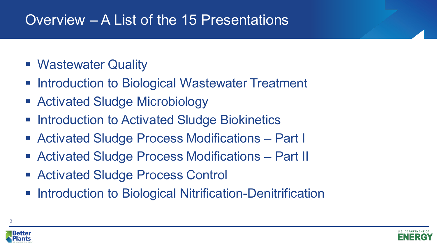### Overview – A List of the 15 Presentations

- Wastewater Quality
- Introduction to Biological Wastewater Treatment
- Activated Sludge Microbiology
- **Example 2 Introduction to Activated Sludge Biokinetics**
- Activated Sludge Process Modifications Part I
- Activated Sludge Process Modifications Part II
- Activated Sludge Process Control
- **EXEDENTIFY Introduction to Biological Nitrification-Denitrification**



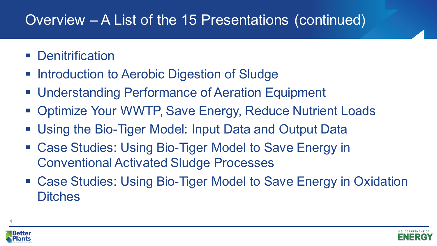## Overview – A List of the 15 Presentations (continued)

- **Denitrification**
- **Introduction to Aerobic Digestion of Sludge**
- Understanding Performance of Aeration Equipment
- Optimize Your WWTP, Save Energy, Reduce Nutrient Loads
- Using the Bio-Tiger Model: Input Data and Output Data
- Case Studies: Using Bio-Tiger Model to Save Energy in Conventional Activated Sludge Processes
- Case Studies: Using Bio-Tiger Model to Save Energy in Oxidation **Ditches**



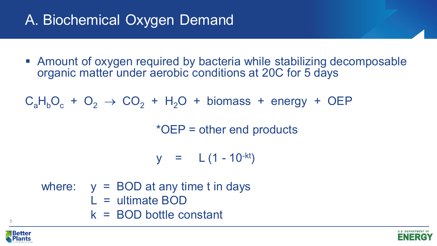## A. Biochemical Oxygen Demand

■ Amount of oxygen required by bacteria while stabilizing decomposable organic matter under aerobic conditions at 20C for 5 days

 $C_aH_bO_c + O_2 \rightarrow CO_2 + H_2O + \text{biomass} + \text{energy} + \text{OEP}$ 

\*OEP = other end products

 $y = L (1 - 10^{-kt})$ 

where:  $y = BOD$  at any time t in days L = ultimate BOD k = BOD bottle constant



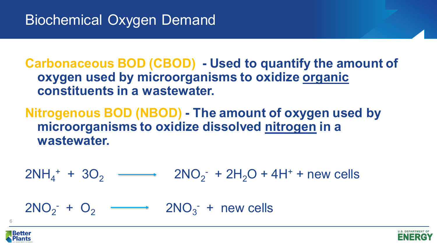**Carbonaceous BOD (CBOD) - Used to quantify the amount of oxygen used by microorganisms to oxidize organic constituents in a wastewater.**

**Nitrogenous BOD (NBOD) - The amount of oxygen used by microorganisms to oxidize dissolved nitrogen in a wastewater.**

 $2NH_4^+ + 3O_2$   $\longrightarrow$   $2NO_2^- + 2H_2O + 4H^+ + new cells$  $2NO_2$ <sup>-</sup> +  $O_2$   $\longrightarrow$   $2NO_3$ <sup>-</sup> + new cells



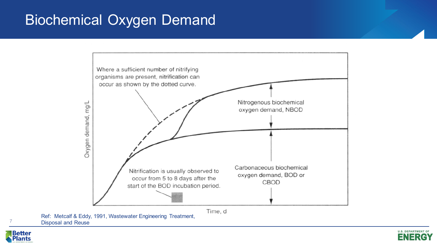### Biochemical Oxygen Demand



Ref: Metcalf & Eddy, 1991, Wastewater Engineering Treatment, Disposal and Reuse



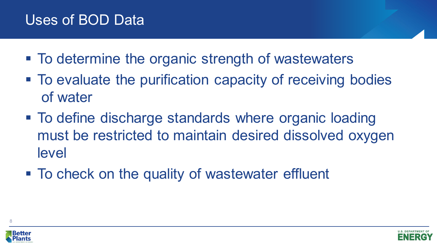#### Uses of BOD Data

- To determine the organic strength of wastewaters
- To evaluate the purification capacity of receiving bodies of water
- To define discharge standards where organic loading must be restricted to maintain desired dissolved oxygen level
- To check on the quality of wastewater effluent



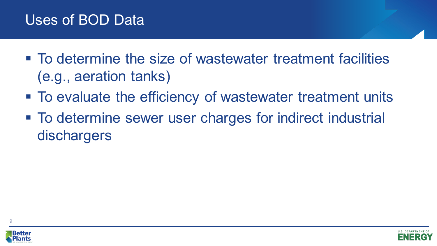- To determine the size of wastewater treatment facilities (e.g., aeration tanks)
- To evaluate the efficiency of wastewater treatment units
- To determine sewer user charges for indirect industrial dischargers





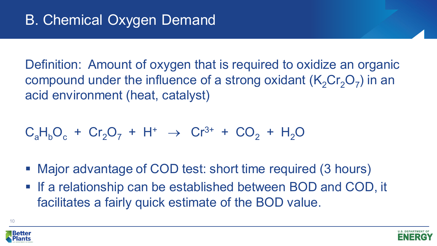Definition: Amount of oxygen that is required to oxidize an organic compound under the influence of a strong oxidant  $(K_2Cr_2O_7)$  in an acid environment (heat, catalyst)

$$
C_aH_bO_c + Cr_2O_7 + H^+ \rightarrow Cr^{3+} + CO_2 + H_2O
$$

- Major advantage of COD test: short time required (3 hours)
- **If a relationship can be established between BOD and COD, it** facilitates a fairly quick estimate of the BOD value.



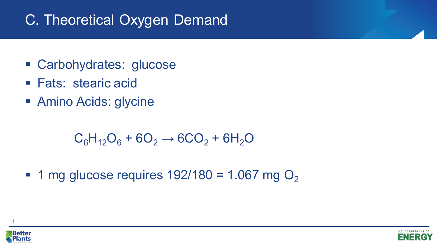### C. Theoretical Oxygen Demand

- Carbohydrates: glucose
- **Fats: stearic acid**
- Amino Acids: glycine

 $C_6H_{12}O_6 + 6O_2 \rightarrow 6CO_2 + 6H_2O$ 

 $\blacksquare$  1 mg glucose requires 192/180 = 1.067 mg O<sub>2</sub>



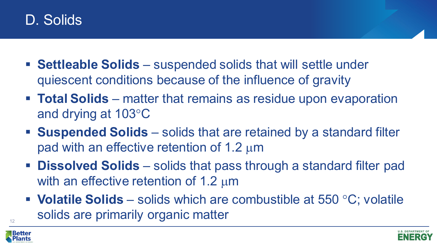

- **Settleable Solids**  suspended solids that will settle under quiescent conditions because of the influence of gravity
- **Total Solids** matter that remains as residue upon evaporation and drying at 103°C
- **Suspended Solids**  solids that are retained by a standard filter pad with an effective retention of 1.2  $\mu$ m
- **Dissolved Solids** solids that pass through a standard filter pad with an effective retention of 1.2  $\mu$ m
- **Volatile Solids** solids which are combustible at 550 °C; volatile solids are primarily organic matter



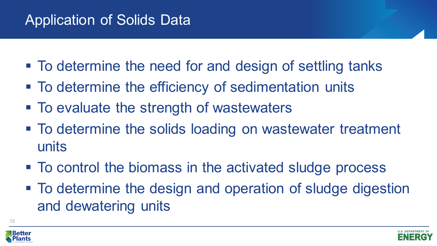## Application of Solids Data

- To determine the need for and design of settling tanks
- **To determine the efficiency of sedimentation units**
- To evaluate the strength of wastewaters
- To determine the solids loading on wastewater treatment units
- To control the biomass in the activated sludge process
- To determine the design and operation of sludge digestion and dewatering units



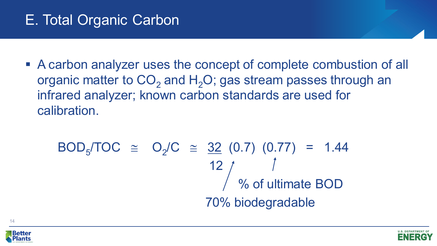## E. Total Organic Carbon

■ A carbon analyzer uses the concept of complete combustion of all organic matter to  $CO<sub>2</sub>$  and  $H<sub>2</sub>O$ ; gas stream passes through an infrared analyzer; known carbon standards are used for calibration.

$$
BOD5/TOC \cong O2/C \cong \frac{32}{12} (0.7) (0.77) = 1.44
$$
  
12  
% of ultimate BOD  
70% biodegradable





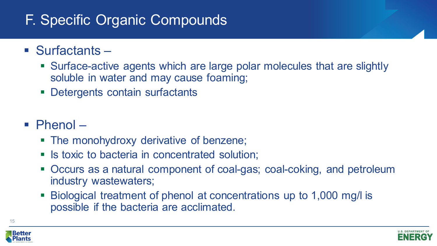## F. Specific Organic Compounds

- Surfactants
	- Surface-active agents which are large polar molecules that are slightly soluble in water and may cause foaming;
	- **Detergents contain surfactants**
- Phenol
	- The monohydroxy derivative of benzene;
	- **In Ity is toxic to bacteria in concentrated solution;**
	- Occurs as a natural component of coal-gas; coal-coking, and petroleum industry wastewaters;
	- Biological treatment of phenol at concentrations up to 1,000 mg/l is possible if the bacteria are acclimated.



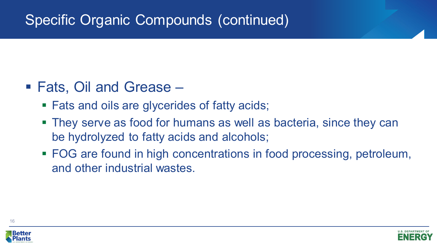## Specific Organic Compounds (continued)

- Fats, Oil and Grease
	- Fats and oils are glycerides of fatty acids;
	- **They serve as food for humans as well as bacteria, since they can** be hydrolyzed to fatty acids and alcohols;
	- FOG are found in high concentrations in food processing, petroleum, and other industrial wastes.



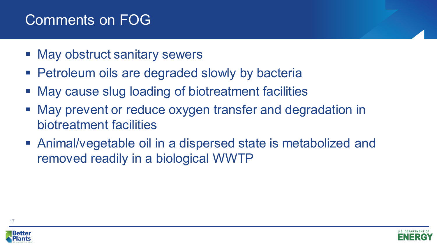### Comments on FOG

- May obstruct sanitary sewers
- **Petroleum oils are degraded slowly by bacteria**
- May cause slug loading of biotreatment facilities
- May prevent or reduce oxygen transfer and degradation in biotreatment facilities
- Animal/vegetable oil in a dispersed state is metabolized and removed readily in a biological WWTP



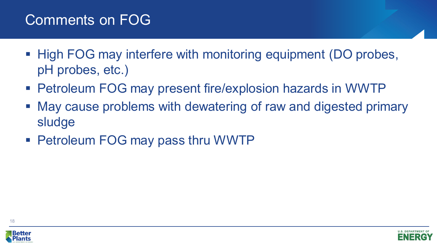#### Comments on FOG

- High FOG may interfere with monitoring equipment (DO probes, pH probes, etc.)
- Petroleum FOG may present fire/explosion hazards in WWTP
- May cause problems with dewatering of raw and digested primary sludge
- Petroleum FOG may pass thru WWTP





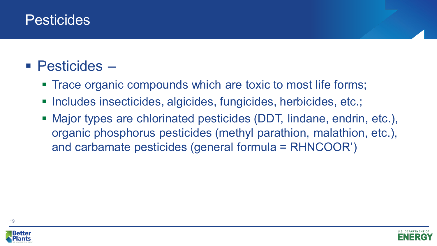#### **Pesticides**

### ■ Pesticides –

- **Trace organic compounds which are toxic to most life forms;**
- Includes insecticides, algicides, fungicides, herbicides, etc.;
- Major types are chlorinated pesticides (DDT, lindane, endrin, etc.), organic phosphorus pesticides (methyl parathion, malathion, etc.), and carbamate pesticides (general formula = RHNCOOR')





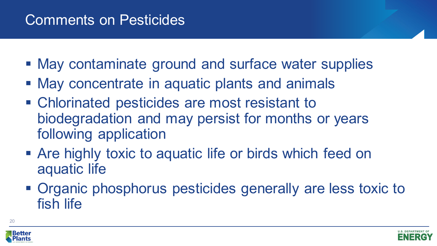#### Comments on Pesticides

- May contaminate ground and surface water supplies
- May concentrate in aquatic plants and animals
- Chlorinated pesticides are most resistant to biodegradation and may persist for months or years following application
- **Are highly toxic to aquatic life or birds which feed on** aquatic life
- Organic phosphorus pesticides generally are less toxic to fish life



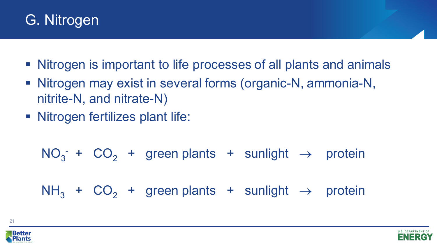### G. Nitrogen

- Nitrogen is important to life processes of all plants and animals
- Nitrogen may exist in several forms (organic-N, ammonia-N, nitrite-N, and nitrate-N)
- **Nitrogen fertilizes plant life:**

$$
NO_3^- + CO_2 + green plants + sunlight \rightarrow protein
$$

 $NH<sub>3</sub> + CO<sub>2</sub> + green plants + sunlight  $\rightarrow$  protein$ 



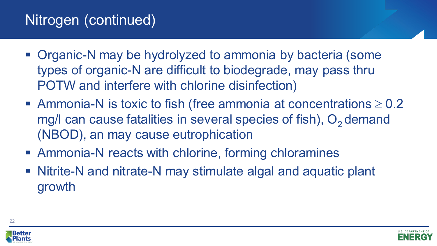### Nitrogen (continued)

- Organic-N may be hydrolyzed to ammonia by bacteria (some types of organic-N are difficult to biodegrade, may pass thru POTW and interfere with chlorine disinfection)
- Ammonia-N is toxic to fish (free ammonia at concentrations  $\geq 0.2$ mg/l can cause fatalities in several species of fish),  $O<sub>2</sub>$  demand (NBOD), an may cause eutrophication
- Ammonia-N reacts with chlorine, forming chloramines
- Nitrite-N and nitrate-N may stimulate algal and aquatic plant growth



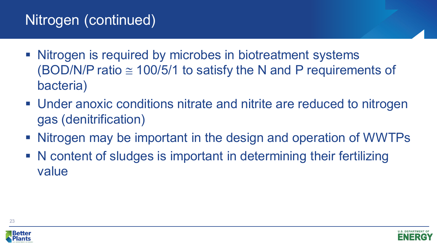### Nitrogen (continued)

- **Nitrogen is required by microbes in biotreatment systems** (BOD/N/P ratio  $\approx$  100/5/1 to satisfy the N and P requirements of bacteria)
- Under anoxic conditions nitrate and nitrite are reduced to nitrogen gas (denitrification)
- Nitrogen may be important in the design and operation of WWTPs
- N content of sludges is important in determining their fertilizing value



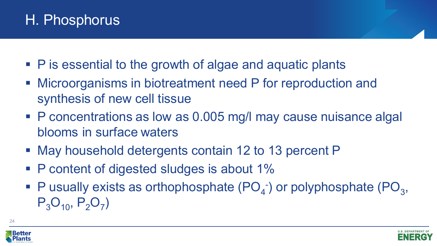### H. Phosphorus

- P is essential to the growth of algae and aquatic plants
- Microorganisms in biotreatment need P for reproduction and synthesis of new cell tissue
- P concentrations as low as 0.005 mg/l may cause nuisance algal blooms in surface waters
- May household detergents contain 12 to 13 percent P
- P content of digested sludges is about 1%
- $\blacksquare$  P usually exists as orthophosphate (PO<sub>4</sub><sup>-</sup>) or polyphosphate (PO<sub>3</sub>,  $P_3O_{10}$ ,  $P_2O_7$ )



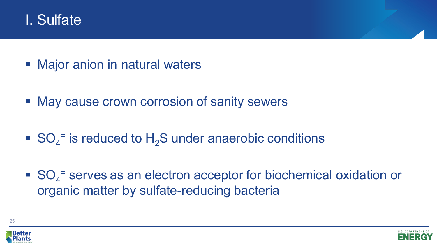

- Major anion in natural waters
- May cause crown corrosion of sanity sewers
- $\bullet$  SO<sub>4</sub><sup>=</sup> is reduced to H<sub>2</sub>S under anaerobic conditions
- $\bullet$  SO<sub>4</sub><sup>=</sup> serves as an electron acceptor for biochemical oxidation or organic matter by sulfate-reducing bacteria



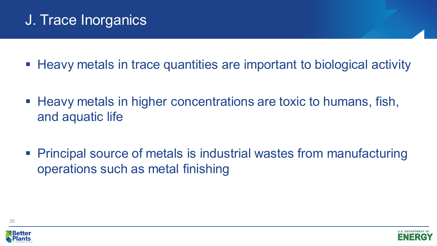## J. Trace Inorganics

- Heavy metals in trace quantities are important to biological activity
- Heavy metals in higher concentrations are toxic to humans, fish, and aquatic life
- Principal source of metals is industrial wastes from manufacturing operations such as metal finishing